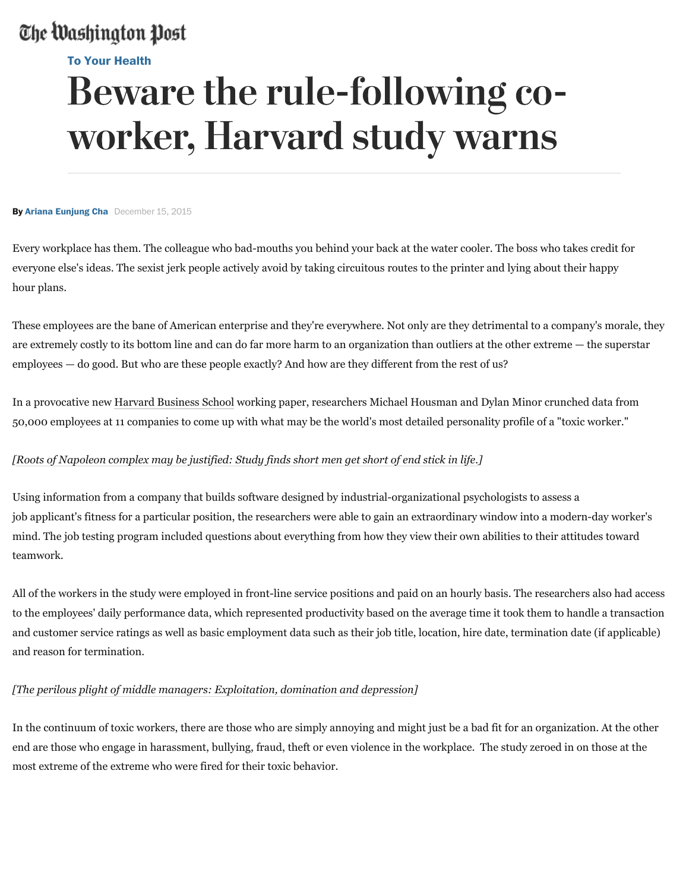# The Washington Post

## **To Your [Health](http://www.washingtonpost.com/news/to-your-health)**

# Beware the rule-following coworker, Harvard study warns

**By Ariana [Eunjung](http://www.washingtonpost.com/people/ariana-eunjung-cha) Cha** December 15, 2015

Every workplace has them. The colleague who bad-mouths you behind your back at the water cooler. The boss who takes credit for everyone else's ideas. The sexist jerk people actively avoid by taking circuitous routes to the printer and lying about their happy hour plans.

These employees are the bane of American enterprise and they're everywhere. Not only are they detrimental to a company's morale, they are extremely costly to its bottom line and can do far more harm to an organization than outliers at the other extreme — the superstar employees — do good. But who are these people exactly? And how are they different from the rest of us?

In a provocative new Harvard [Business](http://www.hbs.edu/faculty/Publication%20Files/16-057_d45c0b4f-fa19-49de-8f1b-4b12fe054fea.pdf) School working paper, researchers Michael Housman and Dylan Minor crunched data from 50,000 employees at 11 companies to come up with what may be the world's most detailed personality profile of a "toxic worker."

# [Roots of [Napoleon](https://www.washingtonpost.com/news/to-your-health/wp/2016/03/08/study-being-a-short-man-or-overweight-woman-linked-to-lower-life-chances/) complex may be justified: Study finds short men get short of end stick in life.]

Using information from a company that builds software designed by industrial-organizational psychologists to assess a job applicant's fitness for a particular position, the researchers were able to gain an extraordinary window into a modern-day worker's mind. The job testing program included questions about everything from how they view their own abilities to their attitudes toward teamwork.

All of the workers in the study were employed in front-line service positions and paid on an hourly basis. The researchers also had access to the employees' daily performance data, which represented productivity based on the average time it took them to handle a transaction and customer service ratings as well as basic employment data such as their job title, location, hire date, termination date (if applicable) and reason for termination.

# *[The perilous plight of middle managers: [Exploitation,](https://www.washingtonpost.com/news/to-your-health/wp/2015/08/20/why-middle-managers-are-more-likely-to-be-depressed/) domination and depression]*

In the continuum of toxic workers, there are those who are simply annoying and might just be a bad fit for an organization. At the other end are those who engage in harassment, bullying, fraud, theft or even violence in the workplace. The study zeroed in on those at the most extreme of the extreme who were fired for their toxic behavior.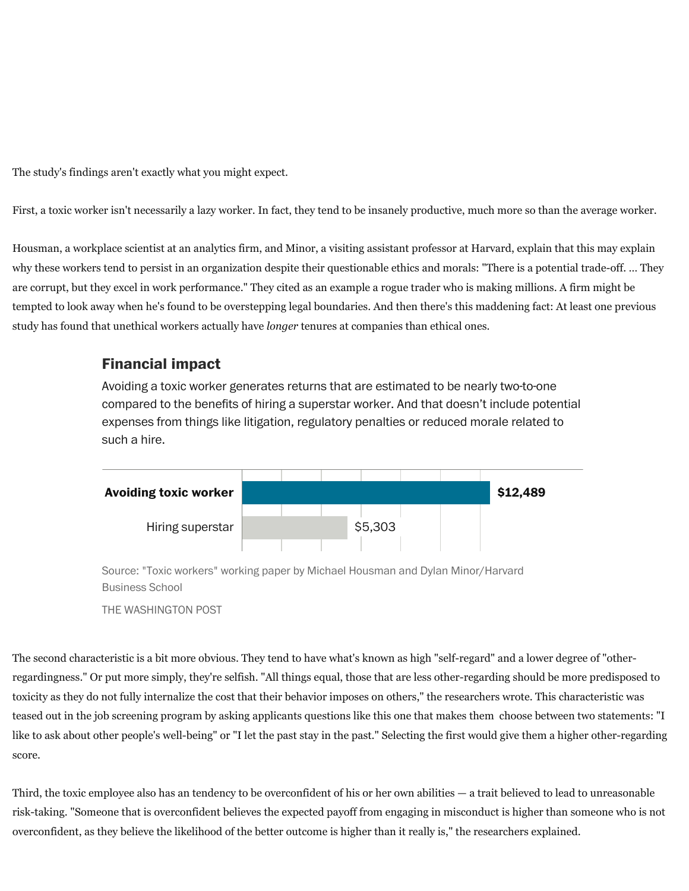The study's findings aren't exactly what you might expect.

First, a toxic worker isn't necessarily a lazy worker. In fact, they tend to be insanely productive, much more so than the average worker.

Housman, a workplace scientist at an analytics firm, and Minor, a visiting assistant professor at Harvard, explain that this may explain why these workers tend to persist in an organization despite their questionable ethics and morals: "There is a potential trade-off. … They are corrupt, but they excel in work performance." They cited as an example a rogue trader who is making millions. A firm might be tempted to look away when he's found to be overstepping legal boundaries. And then there's this maddening fact: At least one previous study has found that unethical workers actually have *longer* tenures at companies than ethical ones.

# **Financial impact**

Avoiding a toxic worker generates returns that are estimated to be nearly two-to-one compared to the benefits of hiring a superstar worker. And that doesn't include potential expenses from things like litigation, regulatory penalties or reduced morale related to such a hire.



Source: "Toxic workers" working paper by Michael Housman and Dylan Minor/Harvard Business School

#### THE [WASHINGTON](http://www.washingtonpost.com/) POST

The second characteristic is a bit more obvious. They tend to have what's known as high "self-regard" and a lower degree of "otherregardingness." Or put more simply, they're selfish. "All things equal, those that are less other-regarding should be more predisposed to toxicity as they do not fully internalize the cost that their behavior imposes on others," the researchers wrote. This characteristic was teased out in the job screening program by asking applicants questions like this one that makes them choose between two statements: "I like to ask about other people's well-being" or "I let the past stay in the past." Selecting the first would give them a higher other-regarding score.

Third, the toxic employee also has an tendency to be overconfident of his or her own abilities — a trait believed to lead to unreasonable risk-taking. "Someone that is overconfident believes the expected payoff from engaging in misconduct is higher than someone who is not overconfident, as they believe the likelihood of the better outcome is higher than it really is," the researchers explained.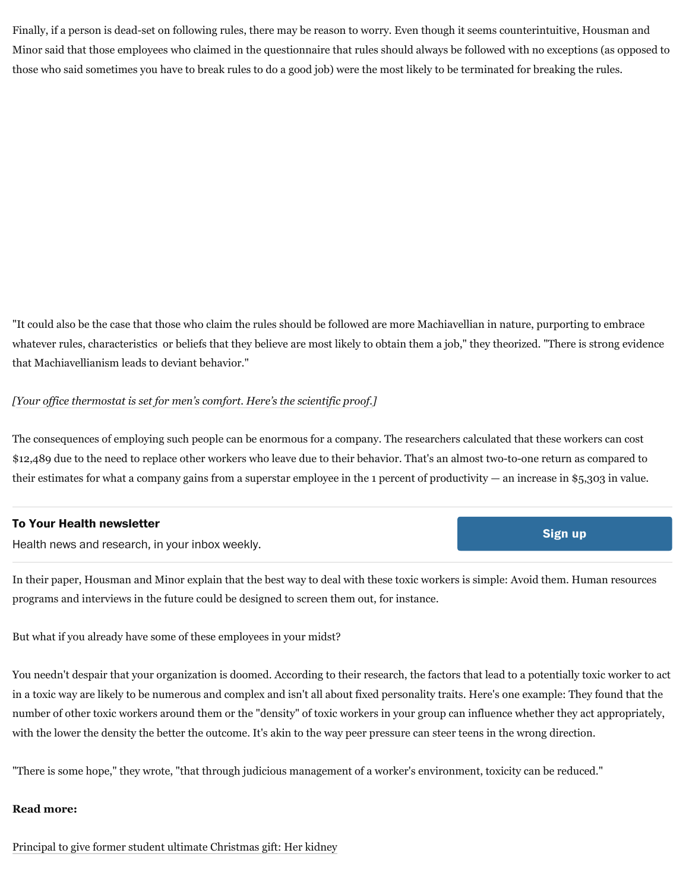Finally, if a person is dead-set on following rules, there may be reason to worry. Even though it seems counterintuitive, Housman and Minor said that those employees who claimed in the questionnaire that rules should always be followed with no exceptions (as opposed to those who said sometimes you have to break rules to do a good job) were the most likely to be terminated for breaking the rules.

"It could also be the case that those who claim the rules should be followed are more Machiavellian in nature, purporting to embrace whatever rules, characteristics or beliefs that they believe are most likely to obtain them a job," they theorized. "There is strong evidence that Machiavellianism leads to deviant behavior."

#### *[Your of ice [thermostat](https://www.washingtonpost.com/news/to-your-health/wp/2015/08/03/your-office-thermostat-is-set-for-mens-comfort-heres-the-scientific-proof/) is set for men's comfort. Here's the scientific proof.]*

The consequences of employing such people can be enormous for a company. The researchers calculated that these workers can cost \$12,489 due to the need to replace other workers who leave due to their behavior. That's an almost two-to-one return as compared to their estimates for what a company gains from a superstar employee in the 1 percent of productivity — an increase in \$5,303 in value.

#### **To Your Health newsletter**

Health news and research, in your inbox weekly.

In their paper, Housman and Minor explain that the best way to deal with these toxic workers is simple: Avoid them. Human resources programs and interviews in the future could be designed to screen them out, for instance.

But what if you already have some of these employees in your midst?

You needn't despair that your organization is doomed. According to their research, the factors that lead to a potentially toxic worker to act in a toxic way are likely to be numerous and complex and isn't all about fixed personality traits. Here's one example: They found that the number of other toxic workers around them or the "density" of toxic workers in your group can influence whether they act appropriately, with the lower the density the better the outcome. It's akin to the way peer pressure can steer teens in the wrong direction.

"There is some hope," they wrote, "that through judicious management of a worker's environment, toxicity can be reduced."

#### **Read more:**

Principal to give former student ultimate [Christmas](http://wpo.st/qWcz0) gift: Her kidney

### **Sign up**